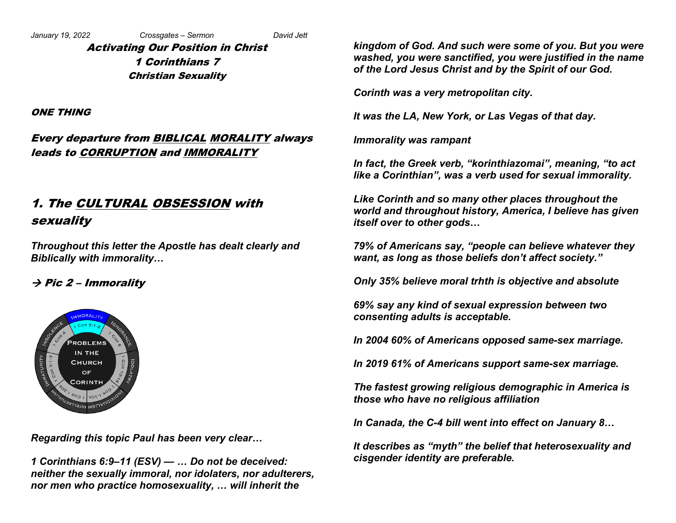Activating Our Position in Christ 1 Corinthians 7 Christian Sexuality

ONE THING

## Every departure from BIBLICAL MORALITY always leads to CORRUPTION and IMMORALITY

# 1. The CULTURAL OBSESSION with sexuality

*Throughout this letter the Apostle has dealt clearly and Biblically with immorality…*

#### $\rightarrow$  Pic 2 – Immorality



*Regarding this topic Paul has been very clear…*

*1 Corinthians 6:9–11 (ESV) — … Do not be deceived: neither the sexually immoral, nor idolaters, nor adulterers, nor men who practice homosexuality, … will inherit the* 

*kingdom of God. And such were some of you. But you were washed, you were sanctified, you were justified in the name of the Lord Jesus Christ and by the Spirit of our God.*

*Corinth was a very metropolitan city.*

*It was the LA, New York, or Las Vegas of that day.*

*Immorality was rampant*

*In fact, the Greek verb, "korinthiazomai", meaning, "to act like a Corinthian", was a verb used for sexual immorality.*

*Like Corinth and so many other places throughout the world and throughout history, America, I believe has given itself over to other gods…*

*79% of Americans say, "people can believe whatever they want, as long as those beliefs don't affect society."*

*Only 35% believe moral trhth is objective and absolute*

*69% say any kind of sexual expression between two consenting adults is acceptable.*

*In 2004 60% of Americans opposed same-sex marriage.*

*In 2019 61% of Americans support same-sex marriage.*

*The fastest growing religious demographic in America is those who have no religious affiliation*

*In Canada, the C-4 bill went into effect on January 8…*

*It describes as "myth" the belief that heterosexuality and cisgender identity are preferable.*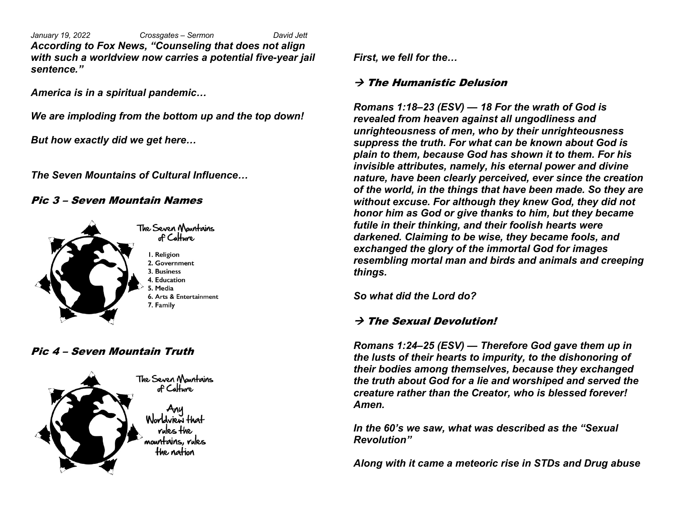*January 19, 2022 Crossgates – Sermon David Jett According to Fox News, "Counseling that does not align with such a worldview now carries a potential five-year jail sentence."*

*America is in a spiritual pandemic…*

*We are imploding from the bottom up and the top down!*

*But how exactly did we get here…*

*The Seven Mountains of Cultural Influence…*

#### Pic 3 – Seven Mountain Names



#### Pic 4 – Seven Mountain Truth



*First, we fell for the…* 

#### $\rightarrow$  The Humanistic Delusion

*Romans 1:18–23 (ESV) — 18 For the wrath of God is revealed from heaven against all ungodliness and unrighteousness of men, who by their unrighteousness suppress the truth. For what can be known about God is plain to them, because God has shown it to them. For his invisible attributes, namely, his eternal power and divine nature, have been clearly perceived, ever since the creation of the world, in the things that have been made. So they are without excuse. For although they knew God, they did not honor him as God or give thanks to him, but they became futile in their thinking, and their foolish hearts were darkened. Claiming to be wise, they became fools, and exchanged the glory of the immortal God for images resembling mortal man and birds and animals and creeping things.*

*So what did the Lord do?*

### $\rightarrow$  The Sexual Devolution!

*Romans 1:24–25 (ESV) — Therefore God gave them up in the lusts of their hearts to impurity, to the dishonoring of their bodies among themselves, because they exchanged the truth about God for a lie and worshiped and served the creature rather than the Creator, who is blessed forever! Amen.*

*In the 60's we saw, what was described as the "Sexual Revolution"*

*Along with it came a meteoric rise in STDs and Drug abuse*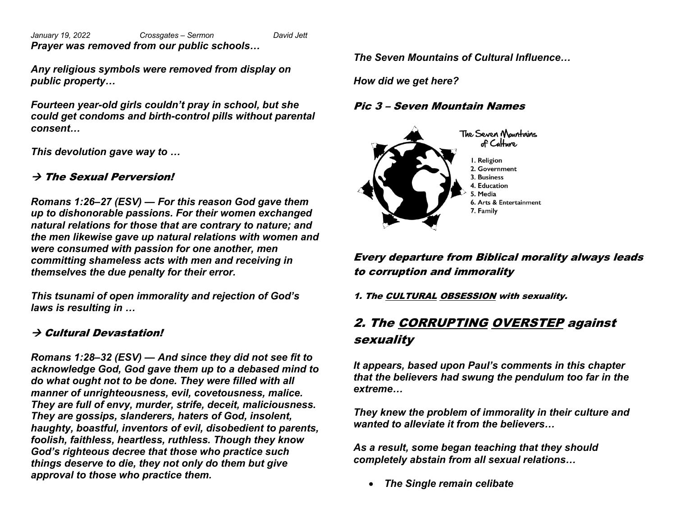*January 19, 2022 Crossgates – Sermon David Jett Prayer was removed from our public schools…*

*Any religious symbols were removed from display on public property…*

*Fourteen year-old girls couldn't pray in school, but she could get condoms and birth-control pills without parental consent…*

*This devolution gave way to …*

## $\rightarrow$  The Sexual Perversion!

*Romans 1:26–27 (ESV) — For this reason God gave them up to dishonorable passions. For their women exchanged natural relations for those that are contrary to nature; and the men likewise gave up natural relations with women and were consumed with passion for one another, men committing shameless acts with men and receiving in themselves the due penalty for their error.* 

*This tsunami of open immorality and rejection of God's laws is resulting in …*

## $\rightarrow$  Cultural Devastation!

*Romans 1:28–32 (ESV) — And since they did not see fit to acknowledge God, God gave them up to a debased mind to do what ought not to be done. They were filled with all manner of unrighteousness, evil, covetousness, malice. They are full of envy, murder, strife, deceit, maliciousness. They are gossips, slanderers, haters of God, insolent, haughty, boastful, inventors of evil, disobedient to parents, foolish, faithless, heartless, ruthless. Though they know God's righteous decree that those who practice such things deserve to die, they not only do them but give approval to those who practice them.*

*The Seven Mountains of Cultural Influence…*

*How did we get here?*

#### Pic 3 – Seven Mountain Names



Every departure from Biblical morality always leads to corruption and immorality

1. The CULTURAL OBSESSION with sexuality.

# 2. The CORRUPTING OVERSTEP against sexuality

*It appears, based upon Paul's comments in this chapter that the believers had swung the pendulum too far in the extreme…*

*They knew the problem of immorality in their culture and wanted to alleviate it from the believers…*

*As a result, some began teaching that they should completely abstain from all sexual relations…*

• *The Single remain celibate*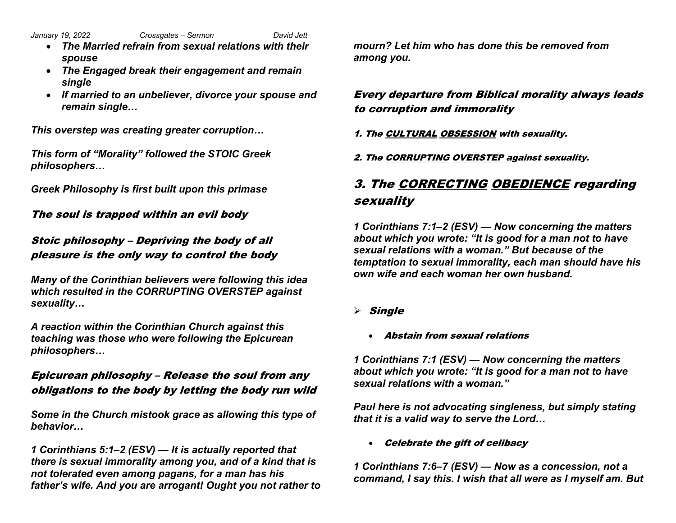*January 19, 2022 Crossgates – Sermon David Jett*

- *The Married refrain from sexual relations with their spouse*
- *The Engaged break their engagement and remain single*
- *If married to an unbeliever, divorce your spouse and remain single…*

*This overstep was creating greater corruption…*

*This form of "Morality" followed the STOIC Greek philosophers…*

*Greek Philosophy is first built upon this primase* 

The soul is trapped within an evil body

# Stoic philosophy – Depriving the body of all pleasure is the only way to control the body

*Many of the Corinthian believers were following this idea which resulted in the CORRUPTING OVERSTEP against sexuality…*

*A reaction within the Corinthian Church against this teaching was those who were following the Epicurean philosophers…*

# Epicurean philosophy – Release the soul from any obligations to the body by letting the body run wild

*Some in the Church mistook grace as allowing this type of behavior…*

*1 Corinthians 5:1–2 (ESV) — It is actually reported that there is sexual immorality among you, and of a kind that is not tolerated even among pagans, for a man has his father's wife. And you are arrogant! Ought you not rather to* 

*mourn? Let him who has done this be removed from among you.*

Every departure from Biblical morality always leads to corruption and immorality

1. The CULTURAL OBSESSION with sexuality.

2. The CORRUPTING OVERSTEP against sexuality.

# 3. The CORRECTING OBEDIENCE regarding sexuality

*1 Corinthians 7:1–2 (ESV) — Now concerning the matters about which you wrote: "It is good for a man not to have sexual relations with a woman." But because of the temptation to sexual immorality, each man should have his own wife and each woman her own husband.*

- $\triangleright$  Single
	- Abstain from sexual relations

*1 Corinthians 7:1 (ESV) — Now concerning the matters about which you wrote: "It is good for a man not to have sexual relations with a woman."*

*Paul here is not advocating singleness, but simply stating that it is a valid way to serve the Lord…*

• Celebrate the gift of celibacy

*1 Corinthians 7:6–7 (ESV) — Now as a concession, not a command, I say this. I wish that all were as I myself am. But*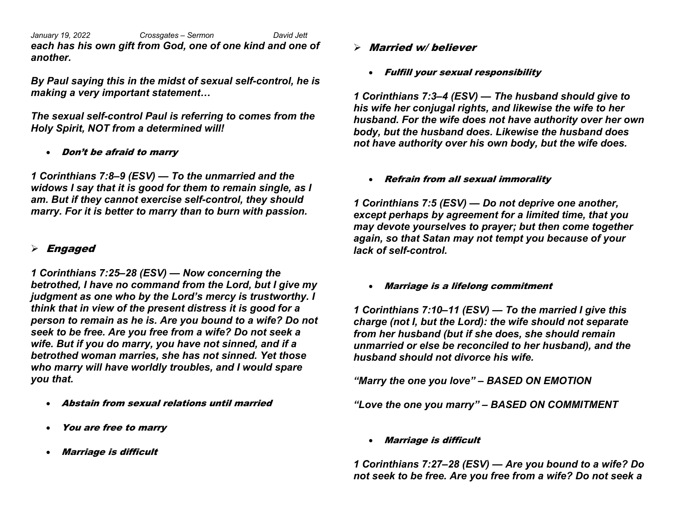*January 19, 2022 Crossgates – Sermon David Jett each has his own gift from God, one of one kind and one of another.*

*By Paul saying this in the midst of sexual self-control, he is making a very important statement…*

*The sexual self-control Paul is referring to comes from the Holy Spirit, NOT from a determined will!*

• Don't be afraid to marry

*1 Corinthians 7:8–9 (ESV) — To the unmarried and the widows I say that it is good for them to remain single, as I am. But if they cannot exercise self-control, they should marry. For it is better to marry than to burn with passion.*

#### $\triangleright$  Engaged

*1 Corinthians 7:25–28 (ESV) — Now concerning the betrothed, I have no command from the Lord, but I give my judgment as one who by the Lord's mercy is trustworthy. I think that in view of the present distress it is good for a person to remain as he is. Are you bound to a wife? Do not seek to be free. Are you free from a wife? Do not seek a wife. But if you do marry, you have not sinned, and if a betrothed woman marries, she has not sinned. Yet those who marry will have worldly troubles, and I would spare you that.*

- Abstain from sexual relations until married
- You are free to marry
- Marriage is difficult
- $\triangleright$  Married w/ believer
	- Fulfill your sexual responsibility

*1 Corinthians 7:3–4 (ESV) — The husband should give to his wife her conjugal rights, and likewise the wife to her husband. For the wife does not have authority over her own body, but the husband does. Likewise the husband does not have authority over his own body, but the wife does.* 

• Refrain from all sexual immorality

*1 Corinthians 7:5 (ESV) — Do not deprive one another, except perhaps by agreement for a limited time, that you may devote yourselves to prayer; but then come together again, so that Satan may not tempt you because of your lack of self-control.*

• Marriage is a lifelong commitment

*1 Corinthians 7:10–11 (ESV) — To the married I give this charge (not I, but the Lord): the wife should not separate from her husband (but if she does, she should remain unmarried or else be reconciled to her husband), and the husband should not divorce his wife.*

*"Marry the one you love" – BASED ON EMOTION*

*"Love the one you marry" – BASED ON COMMITMENT*

• Marriage is difficult

*1 Corinthians 7:27–28 (ESV) — Are you bound to a wife? Do not seek to be free. Are you free from a wife? Do not seek a*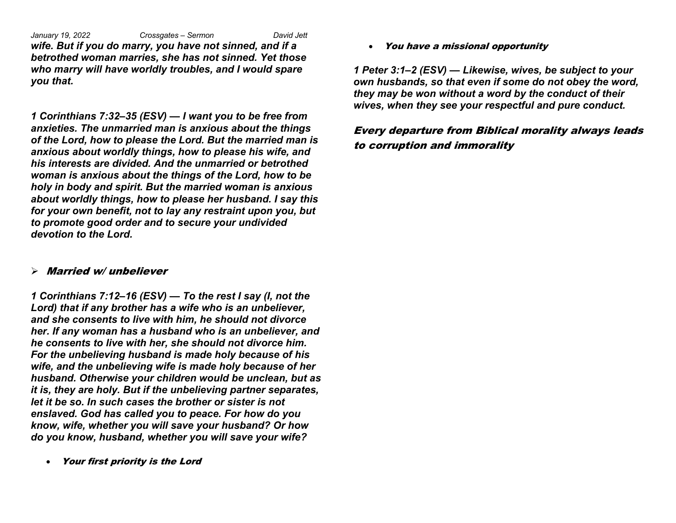*January 19, 2022 Crossgates – Sermon David Jett wife. But if you do marry, you have not sinned, and if a betrothed woman marries, she has not sinned. Yet those who marry will have worldly troubles, and I would spare you that.*

*1 Corinthians 7:32–35 (ESV) — I want you to be free from anxieties. The unmarried man is anxious about the things of the Lord, how to please the Lord. But the married man is anxious about worldly things, how to please his wife, and his interests are divided. And the unmarried or betrothed woman is anxious about the things of the Lord, how to be holy in body and spirit. But the married woman is anxious about worldly things, how to please her husband. I say this for your own benefit, not to lay any restraint upon you, but to promote good order and to secure your undivided devotion to the Lord.* 

#### $\triangleright$  Married w/unbeliever

*1 Corinthians 7:12–16 (ESV) — To the rest I say (I, not the Lord) that if any brother has a wife who is an unbeliever, and she consents to live with him, he should not divorce her. If any woman has a husband who is an unbeliever, and he consents to live with her, she should not divorce him. For the unbelieving husband is made holy because of his wife, and the unbelieving wife is made holy because of her husband. Otherwise your children would be unclean, but as it is, they are holy. But if the unbelieving partner separates, let it be so. In such cases the brother or sister is not enslaved. God has called you to peace. For how do you know, wife, whether you will save your husband? Or how do you know, husband, whether you will save your wife?*

• Your first priority is the Lord

• You have a missional opportunity

*1 Peter 3:1–2 (ESV) — Likewise, wives, be subject to your own husbands, so that even if some do not obey the word, they may be won without a word by the conduct of their wives, when they see your respectful and pure conduct.*

### Every departure from Biblical morality always leads to corruption and immorality